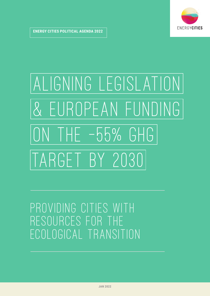

# ALIGNING LEGISLATION & EUROPEAN FUNDING ON THE -55% GHG TARGET BY 2030

Providing cities with resources for the ecological transition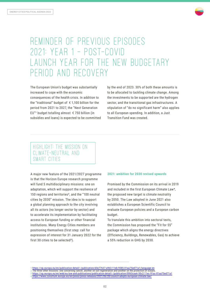

# Reminder of previous episodes 2021: Year 1 – post-Covid launch year for the new budgetary period and recovery

The European Union's budget was substantially increased to cope with the economic consequences of the health crisis. In addition to the "traditional" budget of  $\epsilon$  1,100 billion for the period from 2021 to 2027, the "Next Generation EU"<sup>1</sup> budget totalling almost  $\epsilon$  750 billion (in subsidies and loans) is expected to be committed by the end of 2023. 30% of both these amounts is to be allocated to tackling climate change. Among the investments to be supported are the hydrogen sector, and the transitional gas infrastructures. A stipulation of "do no significant harm" also applies to all European spending. In addition, a Just Transition Fund was created.

# Highlight: The Mission on Climate-Neutral and SMART CITIES

A major new feature of the 2021/2027 programme is that the Horizon Europe research programme will fund 5 multidisciplinary missions: one on adaptation, which will support the resilience of 150 regions and territories², and the "100 neutral cities by 2030" mission. The idea is to support a global planning approach to the city involving all its actors (no longer sector by sector) and to accelerate its implementation by facilitating access to European funding or other financial institutions. Many Energy Cities members are positioning themselves (first step: call for expression of interest for 31 January 2022 for the first 30 cities to be selected<sup>3</sup>).

# **2021: ambition for 2030 revised upwards**

Promised by the Commission on its arrival in 2019 and included in the first European Climate Law4, the proposed new target is climate neutrality by 2050. The Law adopted in June 2021 also establishes a European Scientific Council to evaluate European policies and a European carbon budget.

To translate this ambition into sectoral texts, the Commission has proposed the "Fit for 55" package which aligns the energy directives (Efficiency, Buildings, Renewables, Gas) to achieve a 55% reduction in GHG by 2030.

<sup>1</sup> <https://op.europa.eu/en/publication-detail/-/publication/d3e77637-a963-11eb-9585-01aa75ed71a1/language-en>

<sup>2</sup> The three other missions: one concerning cancer, another on soil regeneration and another on the protection of oceans. 3 <https://op.europa.eu/en/web/eu-law-and-publications/publication-detail/-/publication/0063caa6-50c2-11ec-91ac-01aa75ed71a1>

<sup>4</sup> <https://www.consilium.europa.eu/en/press/press-releases/2021/06/28/council-adopts-european-climate-law/>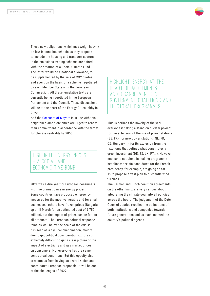

These new obligations, which may weigh heavily on low-income households as they propose to include the housing and transport sectors in the emissions trading scheme, are paired with the creation of a Social Climate Fund. The latter would be a national allowance, to be supplemented by the sale of CO2 quotas and spent on the basis of a scheme negotiated by each Member State with the European Commission. All these legislative texts are currently being negotiated in the European Parliament and the Council. These discussions will be at the heart of the Energy Cities lobby in 2022.

And the [Covenant of Mayors](https://eumayors.eu/about/covenant-initiative/objectives-and-scope.html) is in line with this heightened ambition: cities are urged to renew their commitment in accordance with the target for climate neutrality by 2050.

# Highlight: Energy prices – a social AND FCONOMIC TIME BOMB

2021 was a dire year for European consumers with the dramatic rise in energy prices. Some countries have proposed emergency measures for the most vulnerable and for small businesses, others have frozen prices (Bulgaria, up until March for an estimated cost of € 750 million), but the impact of prices can be felt on all products. The European political response remains well below the scale of the crisis: it is seen as a cyclical phenomenon, mainly due to geopolitical considerations... It is still extremely difficult to get a clear picture of the impact of electricity and gas market prices on consumers. Not everyone has the same contractual conditions. But this opacity also prevents us from having an overall vision and coordinated European proposals. It will be one of the challenges of 2022.

Highlight: Energy at the heart of agreements and disagreements IN GOVERNMENT COALITIONS AND ELECTORAL PROGRAMMES

This is perhaps the novelty of the year – everyone is taking a stand on nuclear power: for the extension of the use of power stations (BE, FR), for new power stations (NL, FR, CZ, Hungary...), for its exclusion from the taxonomy that defines what constitutes a green investment (DE, ES, LX, PT...). However, nuclear is not alone in making programme headlines: certain candidates for the French presidency, for example, are going so far as to propose a vast plan to dismantle wind turbines.

The German and Dutch coalition agreements on the other hand, are very serious about integrating the climate goal into all policies across the board. The judgement of the Dutch Court of Justice recalled the obligations of both institutions and companies towards future generations and as such, marked the country's political agenda.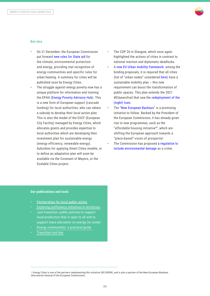

### **But also**

- On 21 December, the European Commission put forward [new rules for State aid](https://ec.europa.eu/commission/presscorner/detail/en/ip_21_6982) for the climate, environmental protection and energy, providing real recognition of energy communities and specific rules for urban heating. A summary for cities will be published soon by Energy Cities.
- The struggle against energy poverty now has a unique platform for information and training: the EPAH [\(Energy Poverty Advisory](https://energy-poverty.ec.europa.eu/index_en) Hub). This is a new form of European support (cascade funding) for local authorities, who can obtain a subsidy to develop their local action plan. This is also the model of the EUCF (European City Facility) managed by Energy Cities, which allocates grants and provides expertise to local authorities which are developing their investment plan for sustainable energy (energy efficiency, renewable energy). Subsidies for applying Smart Cities models, or to define an adaptation plan will soon be available via the Covenant of Mayors, or the Scalable Cities project.
- The COP 26 in Glasgow, which once again highlighted the actions of cities in contrast to national inaction and diplomatic deadlocks.
- A new EU Urban mobility [framework:](https://transport.ec.europa.eu/news/efficient-and-green-mobility-2021-12-14_en) among the binding proposals, it is required that all cities (list of "urban nodes" considered [here](https://eur-lex.europa.eu/resource.html?uri=cellar:7b299e69-5dc8-11ec-9c6c-01aa75ed71a1.0001.02/DOC_25&format=PDF)) have a sustainable mobility plan – this new requirement can boost the transformation of public spaces. This plan extends the 2021 #EUyearofrail that saw the [redeployment](https://trainsforeurope.eu/european-commission-action-plan-to-boost-long-distance-and-cross-border-passenger-rail-a-glass-half-full/) of the [\(night\)](https://trainsforeurope.eu/european-commission-action-plan-to-boost-long-distance-and-cross-border-passenger-rail-a-glass-half-full/) train.
- The "New European [Bauhaus"](https://europa.eu/new-european-bauhaus/index_en) is a promising initiative to follow. Backed by the President of the European Commission, it has already given rise to new programmes, such as the "affordable housing initiative<sup>5"</sup>, which are shifting the European approach towards a "place-based" vision of prosperity!
- The Commission has proposed [a regulation](https://ec.europa.eu/commission/presscorner/detail/en/ip_21_6744) to include [environmental damage](https://ec.europa.eu/commission/presscorner/detail/en/ip_21_6744) as a crime.

# **Our publications and tools**

- [Partnerships for local public action](https://energy-cities.eu/fr/publication/le-partenariat-pour-laction-climatique-locale/)
- [Exploring sufficiency initiatives in territories](https://energy-cities.eu/fr/publication/exploration-des-actions-de-sobriete-dans-les-demarches-territoriales-en-europe/)
- Just transition: public policies to support local production that is open to all and to support mass education on energy (to come)
- [Energy communities: a practical guide](https://energy-cities.eu/fr/publication/community-energy/)
- [Transition tool box](https://www.citiesoftomorrow.eu/resources/toolbox)

<sup>5</sup> Energy Cities is one of the partners implementing this initiative (DG GROW), and is also a partner of the New European Bauhaus (Secretariat-General of the European Commission).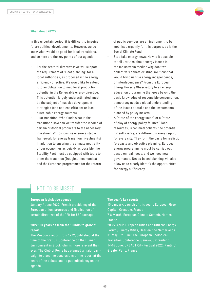

### **What about 2022?**

In this uncertain period, it is difficult to imagine future political developments. However, we do know what would be good for local transitions, and so here are the key points of our agenda:

- For the sectoral directives: we will support the requirement of "Heat planning" for all local authorities, as proposed in the energy efficiency directive. We would like to extend it to an obligation to map local production potential in the Renewable energy directive. This potential, largely underestimated, must be the subject of massive development strategies (and not less efficient or less sustainable energy sources).
- Just transition: Who funds what in the transition? How can we transfer the income of certain historical producers to the necessary investments? How can we ensure a stable framework for energy transition investments? In addition to ensuring the climate neutrality of our economies as quickly as possible, the Stability Pact must be equipped with tools to steer the transition (Doughnut economics) and the European programmes for the reform

of public services are an instrument to be mobilised urgently for this purpose, as is the Social Climate Fund.

- Stop fake energy news: How is it possible to tell untruths about energy issues in the mainstream media? Why don't we collectively debate existing solutions that would bring us true energy independence, or interdependence? From the European Energy Poverty Observatory to an energy education programme that goes beyond the basic knowledge of responsible consumption, democracy needs a global understanding of the issues at stake and the investments planned by policy makers.
- A "state of the energy union" or a "state of play of energy policy failures": local resources, urban metabolisms, the potential for sufficiency, are different in every region, for every city. They form the basis for realistic forecasts and objective planning. European energy programming must be carried out based on real needs, and we need new governance. Needs-based planning will also allow us to clearly identify the opportunities for energy sufficiency.

# NOT TO BE MISSED

### **European legislative agenda**

January / June 2022: French presidency of the European Union; progress and finalisation of certain directives of the "Fit for 55" package.

# **2022: 50 years on from the "Limits to growth" report**

The Meadows report from 1972, published at the time of the first UN Conference on the Human Environment in Stockholm, is more relevant than ever. The Club of Rome has planned a major campaign to place the conclusions of the report at the heart of the debate and to put sufficiency on the agenda.

# **The year's key events**

15 January: Launch of this year's European Green Capital, Grenoble, France

7-8 March: European Climate Summit, Nantes, France

20-22 April: European Cities and Citizens Energy Forum / Energy Cities, Heerlen, the Netherlands 31 May – 2 June: The European Ecological Transition Conference, Geneva, Switzerland 14-16 June: URBACT City Festival 2022, Pantin / Greater Paris, France